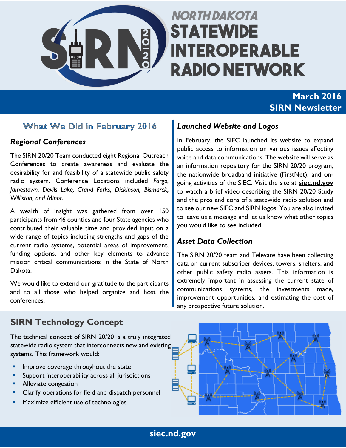

# **NORTH DAKOTA STATEWIDE INTEROPERABLE RADIO NETWORK**

# **March 2016 SIRN Newsletter**

# **What We Did in February 2016**

#### *Regional Conferences*

The SIRN 20/20 Team conducted eight Regional Outreach Conferences to create awareness and evaluate the desirability for and feasibility of a statewide public safety radio system. Conference Locations included *Fargo, Jamestown, Devils Lake, Grand Forks, Dickinson, Bismarck, Williston, and Minot*.

A wealth of insight was gathered from over 150 participants from 46 counties and four State agencies who contributed their valuable time and provided input on a wide range of topics including strengths and gaps of the current radio systems, potential areas of improvement, funding options, and other key elements to advance mission critical communications in the State of North Dakota.

We would like to extend our gratitude to the participants and to all those who helped organize and host the conferences.

### *Launched Website and Logos*

In February, the SIEC launched its website to expand public access to information on various issues affecting voice and data communications. The website will serve as an information repository for the SIRN 20/20 program, the nationwide broadband initiative (FirstNet), and ongoing activities of the SIEC. Visit the site at **siec.nd.gov** to watch a brief video describing the SIRN 20/20 Study and the pros and cons of a statewide radio solution and to see our new SIEC and SIRN logos. You are also invited to leave us a message and let us know what other topics you would like to see included.

## *Asset Data Collection*

The SIRN 20/20 team and Televate have been collecting data on current subscriber devices, towers, shelters, and other public safety radio assets. This information is extremely important in assessing the current state of communications systems, the investments made, improvement opportunities, and estimating the cost of any prospective future solution.

# **SIRN Technology Concept**

The technical concept of SIRN 20/20 is a truly integrated statewide radio system that interconnects new and existing systems. This framework would:

- Improve coverage throughout the state
- **Support interoperability across all jurisdictions**
- **Alleviate congestion**
- Clarify operations for field and dispatch personnel
- Maximize efficient use of technologies